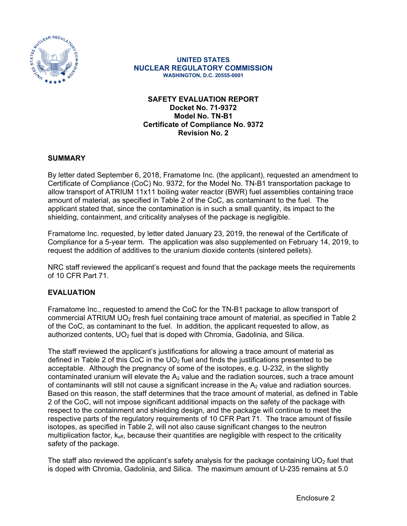

#### **UNITED STATES NUCLEAR REGULATORY COMMISSION WASHINGTON, D.C. 20555-0001**

## **SAFETY EVALUATION REPORT Docket No. 71-9372 Model No. TN-B1 Certificate of Compliance No. 9372 Revision No. 2**

### **SUMMARY**

By letter dated September 6, 2018, Framatome Inc. (the applicant), requested an amendment to Certificate of Compliance (CoC) No. 9372, for the Model No. TN-B1 transportation package to allow transport of ATRIUM 11x11 boiling water reactor (BWR) fuel assemblies containing trace amount of material, as specified in Table 2 of the CoC, as contaminant to the fuel. The applicant stated that, since the contamination is in such a small quantity, its impact to the shielding, containment, and criticality analyses of the package is negligible.

Framatome Inc. requested, by letter dated January 23, 2019, the renewal of the Certificate of Compliance for a 5-year term. The application was also supplemented on February 14, 2019, to request the addition of additives to the uranium dioxide contents (sintered pellets).

NRC staff reviewed the applicant's request and found that the package meets the requirements of 10 CFR Part 71.

### **EVALUATION**

Framatome Inc., requested to amend the CoC for the TN-B1 package to allow transport of commercial ATRIUM UO<sub>2</sub> fresh fuel containing trace amount of material, as specified in Table 2 of the CoC, as contaminant to the fuel. In addition, the applicant requested to allow, as authorized contents,  $UO<sub>2</sub>$  fuel that is doped with Chromia, Gadolinia, and Silica.

The staff reviewed the applicant's justifications for allowing a trace amount of material as defined in Table 2 of this CoC in the  $UO<sub>2</sub>$  fuel and finds the justifications presented to be acceptable. Although the pregnancy of some of the isotopes, e.g. U-232, in the slightly contaminated uranium will elevate the  $A_2$  value and the radiation sources, such a trace amount of contaminants will still not cause a significant increase in the  $A<sub>2</sub>$  value and radiation sources. Based on this reason, the staff determines that the trace amount of material, as defined in Table 2 of the CoC, will not impose significant additional impacts on the safety of the package with respect to the containment and shielding design, and the package will continue to meet the respective parts of the regulatory requirements of 10 CFR Part 71. The trace amount of fissile isotopes, as specified in Table 2, will not also cause significant changes to the neutron multiplication factor,  $k_{\text{eff}}$ , because their quantities are negligible with respect to the criticality safety of the package.

The staff also reviewed the applicant's safety analysis for the package containing  $UO<sub>2</sub>$  fuel that is doped with Chromia, Gadolinia, and Silica. The maximum amount of U-235 remains at 5.0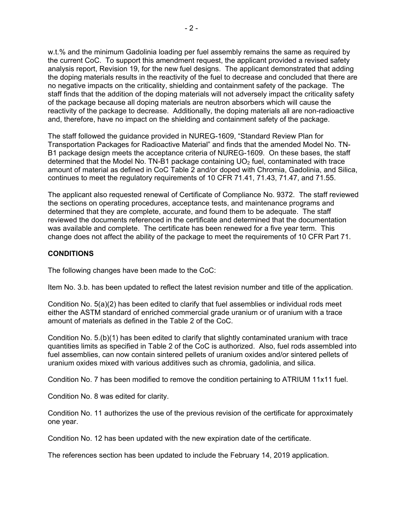w.t.% and the minimum Gadolinia loading per fuel assembly remains the same as required by the current CoC. To support this amendment request, the applicant provided a revised safety analysis report, Revision 19, for the new fuel designs. The applicant demonstrated that adding the doping materials results in the reactivity of the fuel to decrease and concluded that there are no negative impacts on the criticality, shielding and containment safety of the package. The staff finds that the addition of the doping materials will not adversely impact the criticality safety of the package because all doping materials are neutron absorbers which will cause the reactivity of the package to decrease. Additionally, the doping materials all are non-radioactive and, therefore, have no impact on the shielding and containment safety of the package.

The staff followed the guidance provided in NUREG-1609, "Standard Review Plan for Transportation Packages for Radioactive Material" and finds that the amended Model No. TN-B1 package design meets the acceptance criteria of NUREG-1609. On these bases, the staff determined that the Model No. TN-B1 package containing  $UO<sub>2</sub>$  fuel, contaminated with trace amount of material as defined in CoC Table 2 and/or doped with Chromia, Gadolinia, and Silica, continues to meet the regulatory requirements of 10 CFR 71.41, 71.43, 71.47, and 71.55.

The applicant also requested renewal of Certificate of Compliance No. 9372. The staff reviewed the sections on operating procedures, acceptance tests, and maintenance programs and determined that they are complete, accurate, and found them to be adequate. The staff reviewed the documents referenced in the certificate and determined that the documentation was available and complete. The certificate has been renewed for a five year term. This change does not affect the ability of the package to meet the requirements of 10 CFR Part 71.

### **CONDITIONS**

The following changes have been made to the CoC:

Item No. 3.b. has been updated to reflect the latest revision number and title of the application.

Condition No. 5(a)(2) has been edited to clarify that fuel assemblies or individual rods meet either the ASTM standard of enriched commercial grade uranium or of uranium with a trace amount of materials as defined in the Table 2 of the CoC.

Condition No. 5.(b)(1) has been edited to clarify that slightly contaminated uranium with trace quantities limits as specified in Table 2 of the CoC is authorized. Also, fuel rods assembled into fuel assemblies, can now contain sintered pellets of uranium oxides and/or sintered pellets of uranium oxides mixed with various additives such as chromia, gadolinia, and silica.

Condition No. 7 has been modified to remove the condition pertaining to ATRIUM 11x11 fuel.

Condition No. 8 was edited for clarity.

Condition No. 11 authorizes the use of the previous revision of the certificate for approximately one year.

Condition No. 12 has been updated with the new expiration date of the certificate.

The references section has been updated to include the February 14, 2019 application.